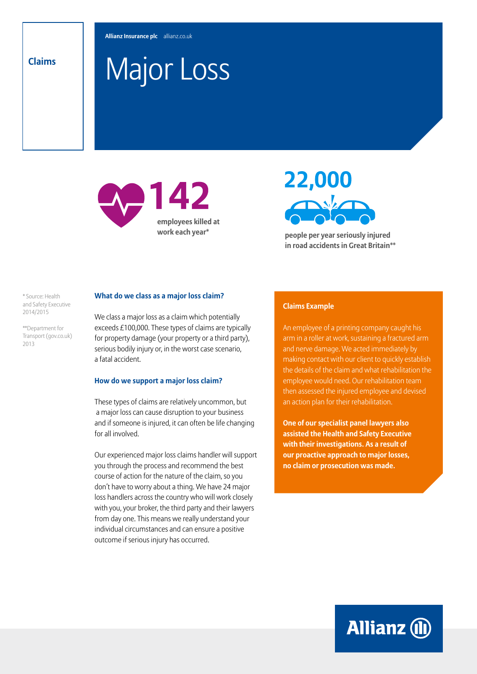# Major Loss **Claims**

**employees killed at work each year\***



**people per year seriously injured in road accidents in Great Britain\*\***

\* Source: Health and Safety Executive 2014/2015

\*\*Department for Transport (gov.co.uk) 2013

## **What do we class as a major loss claim?**

We class a major loss as a claim which potentially exceeds £100,000. These types of claims are typically for property damage (your property or a third party), serious bodily injury or, in the worst case scenario, a fatal accident.

#### **How do we support a major loss claim?**

These types of claims are relatively uncommon, but a major loss can cause disruption to your business and if someone is injured, it can often be life changing for all involved.

Our experienced major loss claims handler will support you through the process and recommend the best course of action for the nature of the claim, so you don't have to worry about a thing. We have 24 major loss handlers across the country who will work closely with you, your broker, the third party and their lawyers from day one. This means we really understand your individual circumstances and can ensure a positive outcome if serious injury has occurred.

### **Claims Example**

An employee of a printing company caught his arm in a roller at work, sustaining a fractured arm and nerve damage. We acted immediately by making contact with our client to quickly establish the details of the claim and what rehabilitation the employee would need. Our rehabilitation team then assessed the injured employee and devised an action plan for their rehabilitation.

**One of our specialist panel lawyers also assisted the Health and Safety Executive with their investigations. As a result of our proactive approach to major losses, no claim or prosecution was made.**

**Allianz (II)**